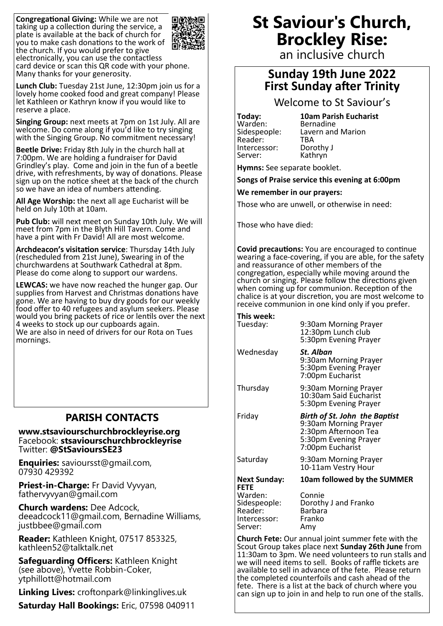**Congregational Giving:** While we are not taking up a collection during the service, a plate is available at the back of church for you to make cash donations to the work of the church. If you would prefer to give electronically, you can use the contactless card device or scan this QR code with your phone. Many thanks for your generosity.



**Lunch Club:** Tuesday 21st June, 12:30pm join us for a lovely home cooked food and great company! Please let Kathleen or Kathryn know if you would like to reserve a place.

**Singing Group:** next meets at 7pm on 1st July. All are welcome. Do come along if you'd like to try singing with the Singing Group. No commitment necessary!

**Beetle Drive:** Friday 8th July in the church hall at 7:00pm. We are holding a fundraiser for David Grindley's play. Come and join in the fun of a beetle drive, with refreshments, by way of donations. Please sign up on the notice sheet at the back of the church so we have an idea of numbers attending.

**All Age Worship:** the next all age Eucharist will be held on July 10th at 10am.

**Pub Club:** will next meet on Sunday 10th July. We will meet from 7pm in the Blyth Hill Tavern. Come and have a pint with Fr David! All are most welcome.

**Archdeacon's visitation service**: Thursday 14th July (rescheduled from 21st June), Swearing in of the churchwardens at Southwark Cathedral at 8pm. Please do come along to support our wardens.

**LEWCAS:** we have now reached the hunger gap. Our supplies from Harvest and Christmas donations have gone. We are having to buy dry goods for our weekly food offer to 40 refugees and asylum seekers. Please would you bring packets of rice or lentils over the next 4 weeks to stock up our cupboards again. We are also in need of drivers for our Rota on Tues mornings.

### **PARISH CONTACTS**

**www.stsaviourschurchbrockleyrise.org** Facebook: **stsaviourschurchbrockleyrise** Twitter: **@StSavioursSE23**

**Enquiries:** savioursst@gmail.com, 07930 429392

**Priest-in-Charge:** Fr David Vyvyan, fathervyvyan@gmail.com

**Church wardens:** Dee Adcock, deeadcock11@gmail.com, Bernadine Williams, justbbee@gmail.com

**Reader:** Kathleen Knight, 07517 853325, kathleen52@talktalk.net

**Safeguarding Officers:** Kathleen Knight (see above), Yvette Robbin-Coker, ytphillott@hotmail.com

**Linking Lives:** croftonpark@linkinglives.uk

**Saturday Hall Bookings:** Eric, 07598 040911

# **St Saviour's Church, Brockley Rise:**

an inclusive church

## **Sunday 19th June 2022 First Sunday after Trinity**

Welcome to St Saviour's

Warden:<br>Sidespeople: Reader: TBA<br>Intercessor: Dorothy J Intercessor: Server: Kathryn

**Today: 10am Parish Eucharist**  Lavern and Marion<br>TBA

**Hymns:** See separate booklet.

**Songs of Praise service this evening at 6:00pm**

**We remember in our prayers:**

Those who are unwell, or otherwise in need:

Those who have died:

**Covid precautions:** You are encouraged to continue wearing a face-covering, if you are able, for the safety and reassurance of other members of the congregation, especially while moving around the church or singing. Please follow the directions given when coming up for communion. Reception of the chalice is at your discretion, you are most welcome to receive communion in one kind only if you prefer.

#### **This week:**

Server: Amy

| Tuesday:                                           | 9:30am Morning Prayer<br>12:30pm Lunch club<br>5:30pm Evening Prayer                                                               |
|----------------------------------------------------|------------------------------------------------------------------------------------------------------------------------------------|
| Wednesday                                          | St. Alban<br>9:30am Morning Prayer<br>5:30pm Evening Prayer<br>7:00pm Eucharist                                                    |
| Thursday                                           | 9:30am Morning Prayer<br>10:30am Said Eucharist<br>5:30pm Evening Prayer                                                           |
| Friday                                             | <b>Birth of St. John the Baptist</b><br>9:30am Morning Prayer<br>2:30pm Afternoon Tea<br>5:30pm Evening Prayer<br>7:00pm Eucharist |
| Saturday                                           | 9:30am Morning Prayer<br>10-11am Vestry Hour                                                                                       |
| <b>Next Sunday:</b><br><b>FETE</b>                 | 10am followed by the SUMMER                                                                                                        |
| Warden:<br>Sidespeople:<br>Reader:<br>Intercessor: | Connie<br>Dorothy J and Franko<br><b>Barbara</b><br>Franko                                                                         |

**Church Fete:** Our annual joint summer fete with the Scout Group takes place next **Sunday 26th June** from 11:30am to 3pm. We need volunteers to run stalls and we will need items to sell. Books of raffle tickets are available to sell in advance of the fete. Please return the completed counterfoils and cash ahead of the fete. There is a list at the back of church where you can sign up to join in and help to run one of the stalls.